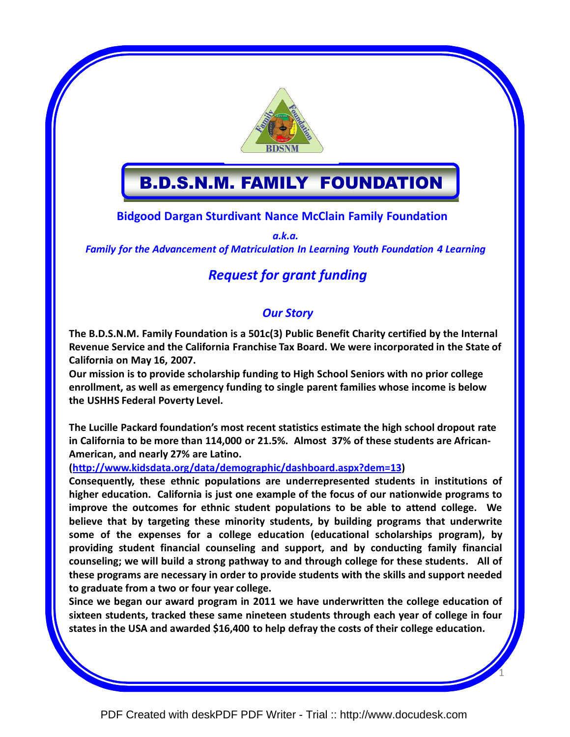

# B.D.S.N.M. FAMILY FOUNDATION

Bidgood Dargan Sturdivant Nance McClain Family Foundation

a.k.a.

### Family for the Advancement of Matriculation In Learning Youth Foundation 4 Learning

# Request for grant funding

# Our Story

The B.D.S.N.M. Family Foundation is a 501c(3) Public Benefit Charity certified by the Internal Revenue Service and the California Franchise Tax Board. We were incorporated in the State of California on May 16, 2007.

Our mission is to provide scholarship funding to High School Seniors with no prior college enrollment, as well as emergency funding to single parent families whose income is below the USHHS Federal Poverty Level.

The Lucille Packard foundation's most recent statistics estimate the high school dropout rate in California to be more than 114,000 or 21.5%. Almost 37% of these students are African-American, and nearly 27% are Latino.

(http://www.kidsdata.org/data/demographic/dashboard.aspx?dem=13)

Consequently, these ethnic populations are underrepresented students in institutions of higher education. California is just one example of the focus of our nationwide programs to improve the outcomes for ethnic student populations to be able to attend college. We believe that by targeting these minority students, by building programs that underwrite some of the expenses for a college education (educational scholarships program), by providing student financial counseling and support, and by conducting family financial counseling; we will build a strong pathway to and through college for these students. All of these programs are necessary in order to provide students with the skills and support needed to graduate from a two or four year college.

Since we began our award program in 2011 we have underwritten the college education of sixteen students, tracked these same nineteen students through each year of college in four states in the USA and awarded \$16,400 to help defray the costs of their college education.

1

[PDF Created with deskPDF PDF Writer - Trial :: http://www.docudesk.com](http://www.docudesk.com)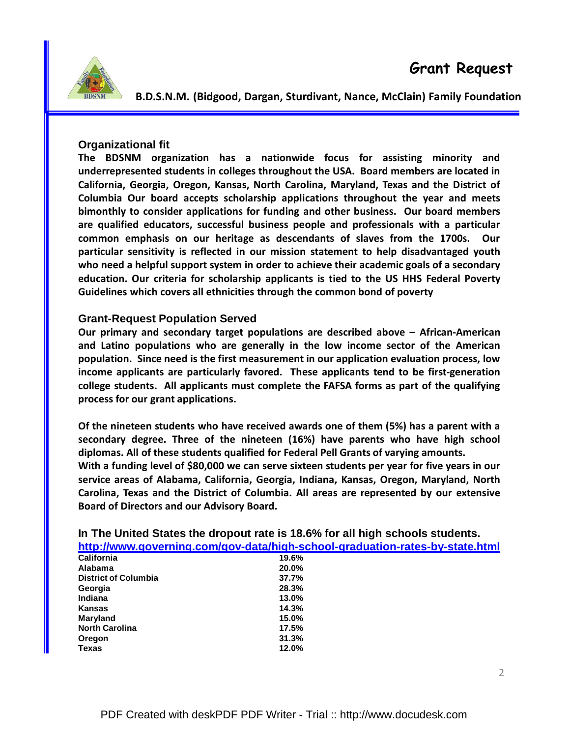

### **Organizational fit**

The BDSNM organization has a nationwide focus for assisting minority and underrepresented students in colleges throughout the USA. Board members are located in California, Georgia, Oregon, Kansas, North Carolina, Maryland, Texas and the District of Columbia Our board accepts scholarship applications throughout the year and meets bimonthly to consider applications for funding and other business. Our board members are qualified educators, successful business people and professionals with a particular common emphasis on our heritage as descendants of slaves from the 1700s. Our particular sensitivity is reflected in our mission statement to help disadvantaged youth who need a helpful support system in order to achieve their academic goals of a secondary education. Our criteria for scholarship applicants is tied to the US HHS Federal Poverty Guidelines which covers all ethnicities through the common bond of poverty

#### **Grant-Request Population Served**

Our primary and secondary target populations are described above – African-American and Latino populations who are generally in the low income sector of the American population. Since need is the first measurement in our application evaluation process, low income applicants are particularly favored. These applicants tend to be first-generation college students. All applicants must complete the FAFSA forms as part of the qualifying process for our grant applications.

Of the nineteen students who have received awards one of them (5%) has a parent with a secondary degree. Three of the nineteen (16%) have parents who have high school diplomas. All of these students qualified for Federal Pell Grants of varying amounts. With a funding level of \$80,000 we can serve sixteen students per year for five years in our service areas of Alabama, California, Georgia, Indiana, Kansas, Oregon, Maryland, North Carolina, Texas and the District of Columbia. All areas are represented by our extensive Board of Directors and our Advisory Board.

|                                                                              | <b>IT THE UNIVERSITY OF A POST THE TOTAL TO THE READ IN THE UNIVERSITY OF A POINT OF A POINT OF A POINT OF THE UP</b> |  |
|------------------------------------------------------------------------------|-----------------------------------------------------------------------------------------------------------------------|--|
| http://www.governing.com/gov-data/high-school-graduation-rates-by-state.html |                                                                                                                       |  |
| <b>California</b>                                                            | 19.6%                                                                                                                 |  |
| <b>Alabama</b>                                                               | 20.0%                                                                                                                 |  |
| <b>District of Columbia</b>                                                  | 37.7%                                                                                                                 |  |
| Georgia                                                                      | 28.3%                                                                                                                 |  |
| Indiana                                                                      | 13.0%                                                                                                                 |  |
| Kansas                                                                       | 14.3%                                                                                                                 |  |
| <b>Maryland</b>                                                              | 15.0%                                                                                                                 |  |
| <b>North Carolina</b>                                                        | 17.5%                                                                                                                 |  |
| Oregon                                                                       | 31.3%                                                                                                                 |  |
| <b>Texas</b>                                                                 | 12.0%                                                                                                                 |  |

PDF Created with deskPDF PDF Writer - Trial :: http://www.docudesk.com

**In The United States the dropout rate is 18.6% for all high schools students.**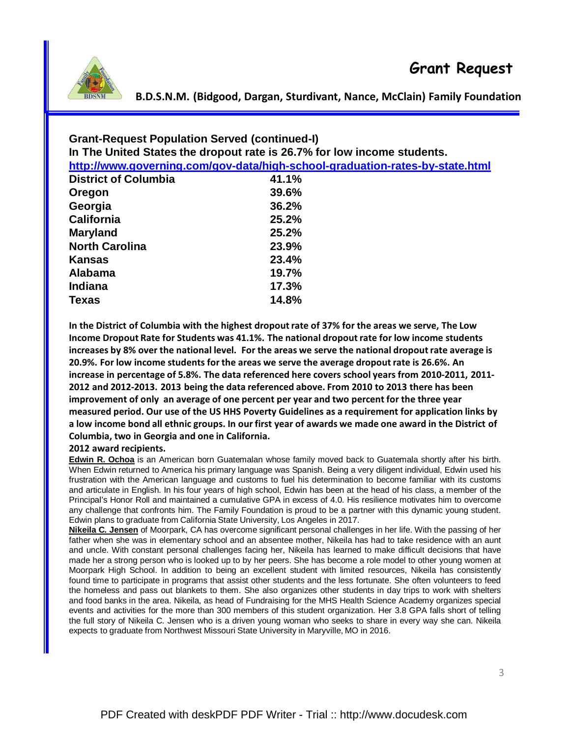| <b>Grant-Request Population Served (continued-I)</b><br>In The United States the dropout rate is 26.7% for low income students.<br>http://www.governing.com/gov-data/high-school-graduation-rates-by-state.html |       |  |
|-----------------------------------------------------------------------------------------------------------------------------------------------------------------------------------------------------------------|-------|--|
| <b>District of Columbia</b>                                                                                                                                                                                     | 41.1% |  |
| Oregon                                                                                                                                                                                                          | 39.6% |  |
| Georgia                                                                                                                                                                                                         | 36.2% |  |
| <b>California</b>                                                                                                                                                                                               | 25.2% |  |
| <b>Maryland</b>                                                                                                                                                                                                 | 25.2% |  |
| <b>North Carolina</b>                                                                                                                                                                                           | 23.9% |  |
| Kansas                                                                                                                                                                                                          | 23.4% |  |
| <b>Alabama</b>                                                                                                                                                                                                  | 19.7% |  |
| <b>Indiana</b>                                                                                                                                                                                                  | 17.3% |  |
| <b>Texas</b>                                                                                                                                                                                                    | 14.8% |  |

In the District of Columbia with the highest dropout rate of 37% for the areas we serve, The Low Income Dropout Rate for Students was 41.1%. The national dropout rate for low income students increases by 8% over the national level. For the areas we serve the national dropout rate average is 20.9%. For low income students for the areas we serve the average dropout rate is 26.6%. An increase in percentage of 5.8%. The data referenced here covers school years from 2010-2011, 2011- 2012 and 2012-2013. 2013 being the data referenced above. From 2010 to 2013 there has been improvement of only an average of one percent per year and two percent for the three year measured period. Our use of the US HHS Poverty Guidelines as a requirement for application links by a low income bond all ethnic groups. In our first year of awards we made one award in the District of Columbia, two in Georgia and one in California.

#### 2012 award recipients.

**Edwin R. Ochoa** is an American born Guatemalan whose family moved back to Guatemala shortly after his birth. When Edwin returned to America his primary language was Spanish. Being a very diligent individual, Edwin used his frustration with the American language and customs to fuel his determination to become familiar with its customs and articulate in English. In his four years of high school, Edwin has been at the head of his class, a member of the Principal's Honor Roll and maintained a cumulative GPA in excess of 4.0. His resilience motivates him to overcome any challenge that confronts him. The Family Foundation is proud to be a partner with this dynamic young student. Edwin plans to graduate from California State University, Los Angeles in 2017.

**Nikeila C. Jensen** of Moorpark, CA has overcome significant personal challenges in her life. With the passing of her father when she was in elementary school and an absentee mother, Nikeila has had to take residence with an aunt and uncle. With constant personal challenges facing her, Nikeila has learned to make difficult decisions that have made her a strong person who is looked up to by her peers. She has become a role model to other young women at Moorpark High School. In addition to being an excellent student with limited resources, Nikeila has consistently found time to participate in programs that assist other students and the less fortunate. She often volunteers to feed the homeless and pass out blankets to them. She also organizes other students in day trips to work with shelters and food banks in the area. Nikeila, as head of Fundraising for the MHS Health Science Academy organizes special events and activities for the more than 300 members of this student organization. Her 3.8 GPA falls short of telling the full story of Nikeila C. Jensen who is a driven young woman who seeks to share in every way she can. Nikeila expects to graduate from Northwest Missouri State University in Maryville, MO in 2016.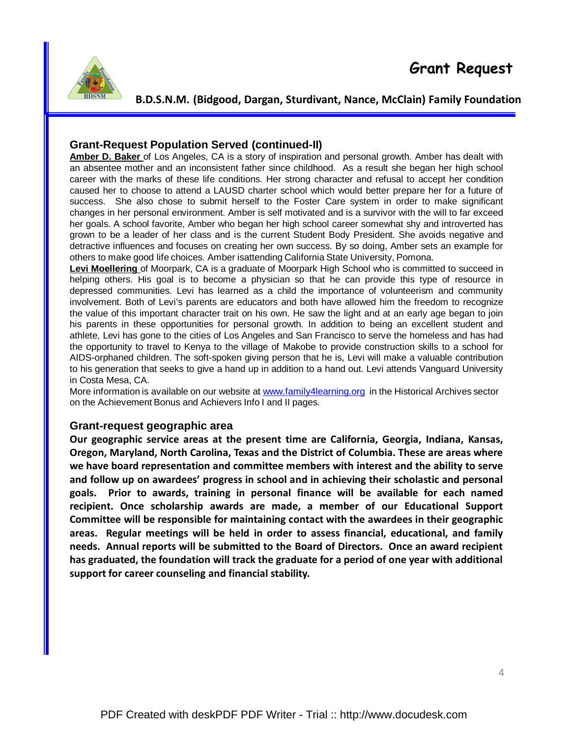

## **Grant-Request Population Served (continued-II)**

**Amber D. Baker** of Los Angeles, CA is a story of inspiration and personal growth. Amber has dealt with an absentee mother and an inconsistent father since childhood. As a result she began her high school career with the marks of these life conditions. Her strong character and refusal to accept her condition caused her to choose to attend a LAUSD charter school which would better prepare her for a future of success. She also chose to submit herself to the Foster Care system in order to make significant changes in her personal environment. Amber is self motivated and is a survivor with the will to far exceed her goals. A school favorite, Amber who began her high school career somewhat shy and introverted has grown to be a leader of her class and is the current Student Body President. She avoids negative and detractive influences and focuses on creating her own success. By so doing, Amber sets an example for others to make good life choices. Amber isattending California State University, Pomona.

**Levi Moellering** of Moorpark, CA is a graduate of Moorpark High School who is committed to succeed in helping others. His goal is to become a physician so that he can provide this type of resource in depressed communities. Levi has learned as a child the importance of volunteerism and community involvement. Both of Levi's parents are educators and both have allowed him the freedom to recognize the value of this important character trait on his own. He saw the light and at an early age began to join his parents in these opportunities for personal growth. In addition to being an excellent student and athlete, Levi has gone to the cities of Los Angeles and San Francisco to serve the homeless and has had the opportunity to travel to Kenya to the village of Makobe to provide construction skills to a school for AIDS-orphaned children. The soft-spoken giving person that he is, Levi will make a valuable contribution to his generation that seeks to give a hand up in addition to a hand out. Levi attends Vanguard University in Costa Mesa, CA.

More information is available on our website at www.family4learning.org in the Historical Archives sector on the Achievement Bonus and Achievers Info I and II pages.

### **Grant-request geographic area**

Our geographic service areas at the present time are California, Georgia, Indiana, Kansas, Oregon, Maryland, North Carolina, Texas and the District of Columbia. These are areas where we have board representation and committee members with interest and the ability to serve and follow up on awardees' progress in school and in achieving their scholastic and personal goals. Prior to awards, training in personal finance will be available for each named recipient. Once scholarship awards are made, a member of our Educational Support Committee will be responsible for maintaining contact with the awardees in their geographic areas. Regular meetings will be held in order to assess financial, educational, and family needs. Annual reports will be submitted to the Board of Directors. Once an award recipient has graduated, the foundation will track the graduate for a period of one year with additional support for career counseling and financial stability.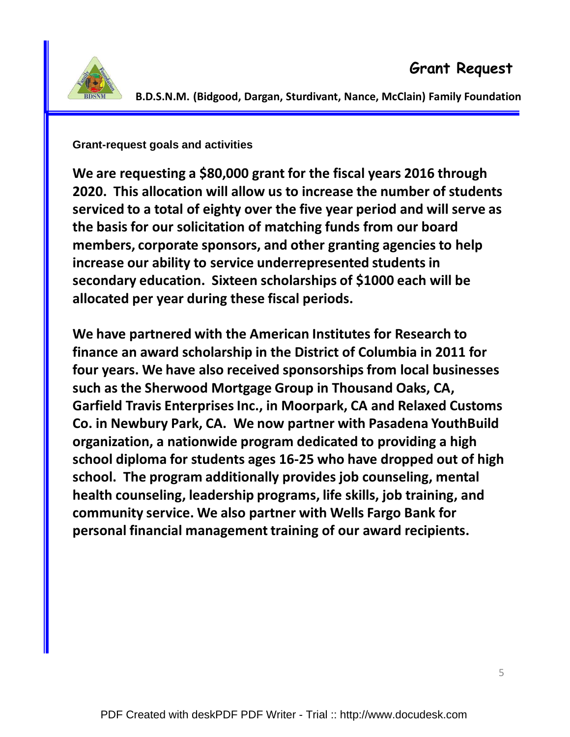

**Grant-request goals and activities**

We are requesting a \$80,000 grant for the fiscal years 2016 through 2020. This allocation will allow us to increase the number of students serviced to a total of eighty over the five year period and will serve as the basis for our solicitation of matching funds from our board members, corporate sponsors, and other granting agencies to help increase our ability to service underrepresented students in secondary education. Sixteen scholarships of \$1000 each will be allocated per year during these fiscal periods.

We have partnered with the American Institutes for Research to finance an award scholarship in the District of Columbia in 2011 for four years. We have also received sponsorships from local businesses such as the Sherwood Mortgage Group in Thousand Oaks, CA, Garfield Travis Enterprises Inc., in Moorpark, CA and Relaxed Customs Co. in Newbury Park, CA. We now partner with Pasadena YouthBuild organization, a nationwide program dedicated to providing a high school diploma for students ages 16-25 who have dropped out of high school. The program additionally provides job counseling, mental health counseling, leadership programs, life skills, job training, and community service. We also partner with Wells Fargo Bank for personal financial management training of our award recipients.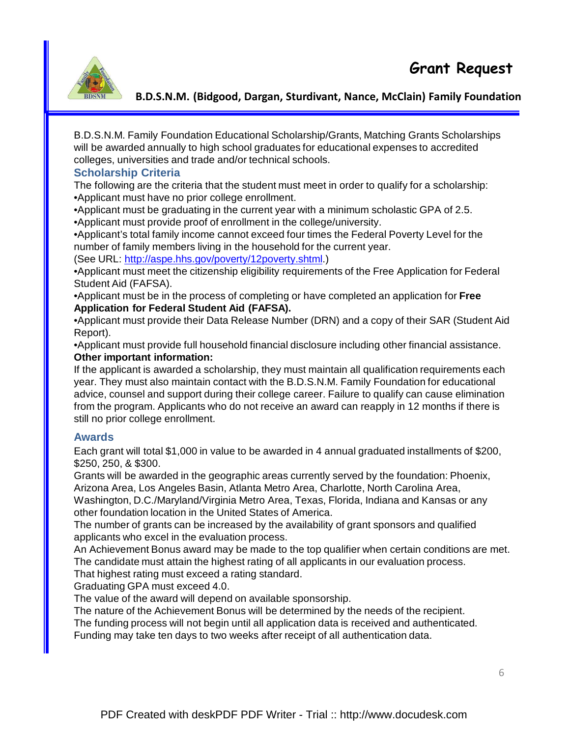

B.D.S.N.M. Family Foundation Educational Scholarship/Grants, Matching Grants Scholarships will be awarded annually to high school graduates for educational expenses to accredited colleges, universities and trade and/or technical schools.

### **Scholarship Criteria**

The following are the criteria that the student must meet in order to qualify for a scholarship: •Applicant must have no prior college enrollment.

•Applicant must be graduating in the current year with a minimum scholastic GPA of 2.5.

•Applicant must provide proof of enrollment in the college/university.

•Applicant's total family income cannot exceed four times the Federal Poverty Level for the number of family members living in the household for the current year.

(See URL: http://aspe.hhs.gov/poverty/12poverty.shtml.)

•Applicant must meet the citizenship eligibility requirements of the Free Application for Federal Student Aid (FAFSA).

•Applicant must be in the process of completing or have completed an application for **Free Application for Federal Student Aid (FAFSA).** 

•Applicant must provide their Data Release Number (DRN) and a copy of their SAR (Student Aid Report).

•Applicant must provide full household financial disclosure including other financial assistance. **Other important information:**

If the applicant is awarded a scholarship, they must maintain all qualification requirements each year. They must also maintain contact with the B.D.S.N.M. Family Foundation for educational advice, counsel and support during their college career. Failure to qualify can cause elimination from the program. Applicants who do not receive an award can reapply in 12 months if there is still no prior college enrollment.

### **Awards**

Each grant will total \$1,000 in value to be awarded in 4 annual graduated installments of \$200, \$250, 250, & \$300.

Grants will be awarded in the geographic areas currently served by the foundation: Phoenix, Arizona Area, Los Angeles Basin, Atlanta Metro Area, Charlotte, North Carolina Area, Washington, D.C./Maryland/Virginia Metro Area, Texas, Florida, Indiana and Kansas or any other foundation location in the United States of America.

The number of grants can be increased by the availability of grant sponsors and qualified applicants who excel in the evaluation process.

An Achievement Bonus award may be made to the top qualifier when certain conditions are met. The candidate must attain the highest rating of all applicants in our evaluation process.

That highest rating must exceed a rating standard.

Graduating GPA must exceed 4.0.

The value of the award will depend on available sponsorship.

The nature of the Achievement Bonus will be determined by the needs of the recipient.

The funding process will not begin until all application data is received and authenticated.

Funding may take ten days to two weeks after receipt of all authentication data.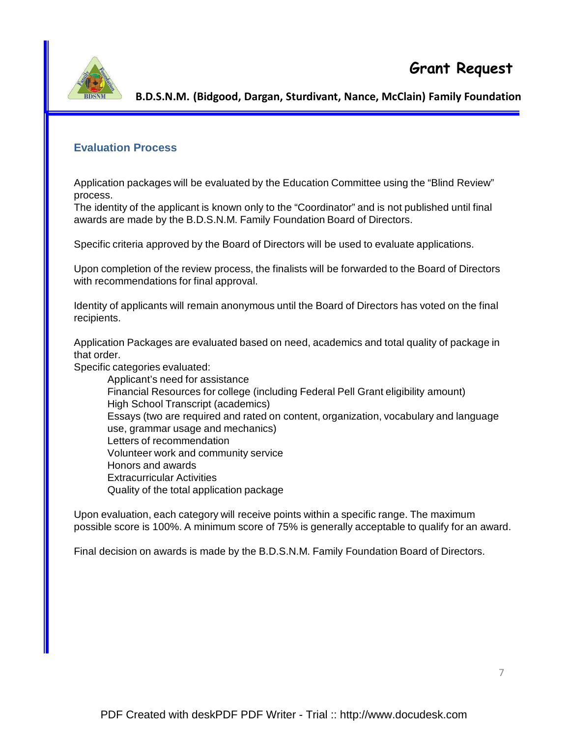

# **Evaluation Process**

Application packages will be evaluated by the Education Committee using the "Blind Review" process.

The identity of the applicant is known only to the "Coordinator" and is not published until final awards are made by the B.D.S.N.M. Family Foundation Board of Directors.

Specific criteria approved by the Board of Directors will be used to evaluate applications.

Upon completion of the review process, the finalists will be forwarded to the Board of Directors with recommendations for final approval.

Identity of applicants will remain anonymous until the Board of Directors has voted on the final recipients.

Application Packages are evaluated based on need, academics and total quality of package in that order.

Specific categories evaluated:

Applicant's need for assistance Financial Resources for college (including Federal Pell Grant eligibility amount) High School Transcript (academics) Essays (two are required and rated on content, organization, vocabulary and language use, grammar usage and mechanics) Letters of recommendation Volunteer work and community service Honors and awards Extracurricular Activities Quality of the total application package

Upon evaluation, each category will receive points within a specific range. The maximum possible score is 100%. A minimum score of 75% is generally acceptable to qualify for an award.

Final decision on awards is made by the B.D.S.N.M. Family Foundation Board of Directors.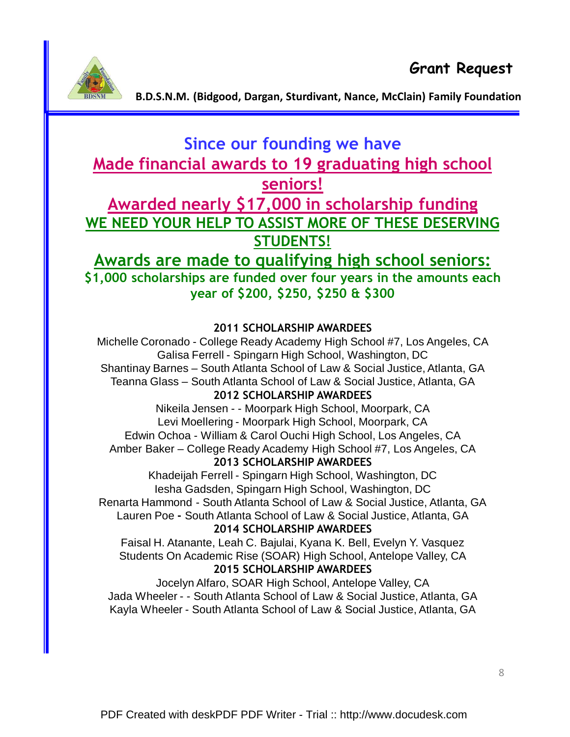

# Since our founding we have Made financial awards to 19 graduating high school seniors! Awarded nearly \$17,000 in scholarship funding WE NEED YOUR HELP TO ASSIST MORE OF THESE DESERVING STUDENTS!

# Awards are made to qualifying high school seniors:

\$1,000 scholarships are funded over four years in the amounts each year of \$200, \$250, \$250 & \$300

# 2011 SCHOLARSHIP AWARDEES

Michelle Coronado - College Ready Academy High School #7, Los Angeles, CA Galisa Ferrell - Spingarn High School, Washington, DC Shantinay Barnes – South Atlanta School of Law & Social Justice, Atlanta, GA Teanna Glass – South Atlanta School of Law & Social Justice, Atlanta, GA 2012 SCHOLARSHIP AWARDEES

# Nikeila Jensen - - Moorpark High School, Moorpark, CA Levi Moellering - Moorpark High School, Moorpark, CA Edwin Ochoa - William & Carol Ouchi High School, Los Angeles, CA Amber Baker – College Ready Academy High School #7, Los Angeles, CA 2013 SCHOLARSHIP AWARDEES

Khadeijah Ferrell - Spingarn High School, Washington, DC Iesha Gadsden, Spingarn High School, Washington, DC Renarta Hammond - South Atlanta School of Law & Social Justice, Atlanta, GA Lauren Poe - South Atlanta School of Law & Social Justice, Atlanta, GA

# 2014 SCHOLARSHIP AWARDEES

Faisal H. Atanante, Leah C. Bajulai, Kyana K. Bell, Evelyn Y. Vasquez Students On Academic Rise (SOAR) High School, Antelope Valley, CA 2015 SCHOLARSHIP AWARDEES

Jocelyn Alfaro, SOAR High School, Antelope Valley, CA Jada Wheeler - - South Atlanta School of Law & Social Justice, Atlanta, GA Kayla Wheeler - South Atlanta School of Law & Social Justice, Atlanta, GA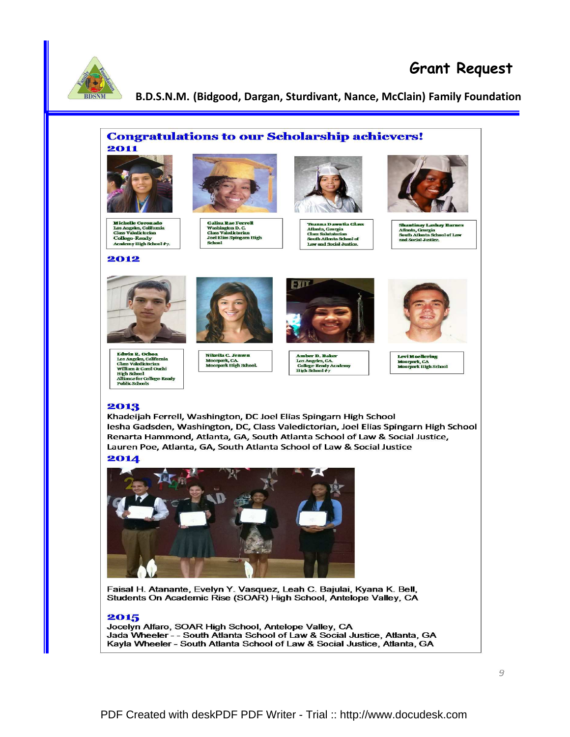

# Grant Request

#### B.D.S.N.M. (Bidgood, Dargan, Sturdivant, Nance, McClain) Family Foundation





Faisal H. Atanante, Evelyn Y. Vasquez, Leah C. Bajulai, Kyana K. Bell, Students On Academic Rise (SOAR) High School, Antelope Valley, CA

#### 2015

Jocelyn Alfaro, SOAR High School, Antelope Valley, CA Jada Wheeler - - South Atlanta School of Law & Social Justice, Atlanta, GA Kayla Wheeler - South Atlanta School of Law & Social Justice, Atlanta, GA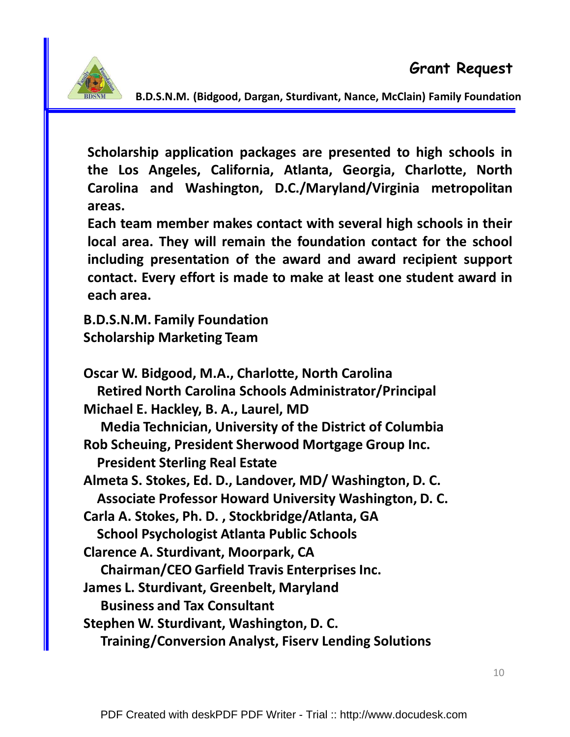

Scholarship application packages are presented to high schools in the Los Angeles, California, Atlanta, Georgia, Charlotte, North Carolina and Washington, D.C./Maryland/Virginia metropolitan areas.

Each team member makes contact with several high schools in their local area. They will remain the foundation contact for the school including presentation of the award and award recipient support contact. Every effort is made to make at least one student award in each area.

B.D.S.N.M. Family Foundation Scholarship Marketing Team

Oscar W. Bidgood, M.A., Charlotte, North Carolina Retired North Carolina Schools Administrator/Principal Michael E. Hackley, B. A., Laurel, MD Media Technician, University of the District of Columbia Rob Scheuing, President Sherwood Mortgage Group Inc. President Sterling Real Estate Almeta S. Stokes, Ed. D., Landover, MD/ Washington, D. C. Associate Professor Howard University Washington, D. C. Carla A. Stokes, Ph. D. , Stockbridge/Atlanta, GA School Psychologist Atlanta Public Schools Clarence A. Sturdivant, Moorpark, CA Chairman/CEO Garfield Travis Enterprises Inc. James L. Sturdivant, Greenbelt, Maryland Business and Tax Consultant Stephen W. Sturdivant, Washington, D. C. Training/Conversion Analyst, Fiserv Lending Solutions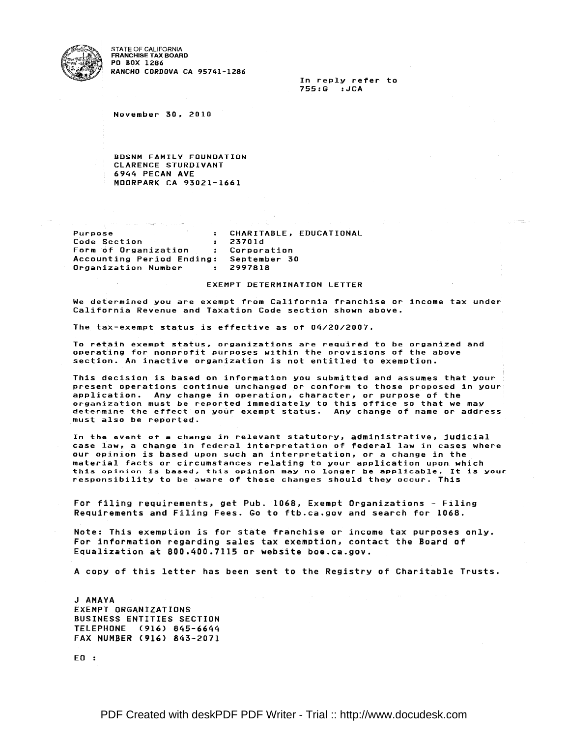

STATE OF CALIFORNIA<br>FRANCHISE TAX BOARD **PO BOX 1286** RANCHO CORDOVA CA 95741-1286

> In reply refer to 755:G : JCA

November 30, 2010

**BDSNM FAMILY FOUNDATION** CLARENCE STURDIVANT 6944 PECAN AVE MOORPARK CA 93021-1661

**Purpose** : CHARITABLE, EDUCATIONAL Code Section 23701d  $-3 \mathbf{F}$ Form of Organization Corporation Accounting Period Ending: September 30 Organization Number  $: 2997818$ 

#### EXEMPT DETERMINATION LETTER

We determined you are exempt from California franchise or income tax under California Revenue and Taxation Code section shown above.

The tax-exempt status is effective as of 04/20/2007.

To retain exempt status, organizations are required to be organized and operating for nonprofit purposes within the provisions of the above section. An inactive organization is not entitled to exemption.

This decision is based on information you submitted and assumes that your present operations continue unchanged or conform to those proposed in your application. Any change in operation, character, or purpose of the organization must be reported immediately to this office so that we may<br>determine the effect on your exempt status. Any change of name or address must also be reported.

In the event of a change in relevant statutory, administrative, judicial case law, a change in federal interpretation of federal law in cases where our opinion is based upon such an interpretation, or a change in the material facts or circumstances relating to your application upon which this opinion is based, this opinion may no longer be applicable. It is your responsibility to be aware of these changes should they occur. This

For filing requirements, get Pub. 1068, Exempt Organizations - Filing Requirements and Filing Fees. Go to ftb.ca.gov and search for 1068.

Note: This exemption is for state franchise or income tax purposes only. For information regarding sales tax exemption, contact the Board of Equalization at 800.400.7115 or website boe.ca.gov.

A copy of this letter has been sent to the Registry of Charitable Trusts.

J AMAYA **EXEMPT ORGANIZATIONS** BUSINESS ENTITIES SECTION TELEPHONE (916) 845-6644 FAX NUMBER (916) 843-2071

 $E0:$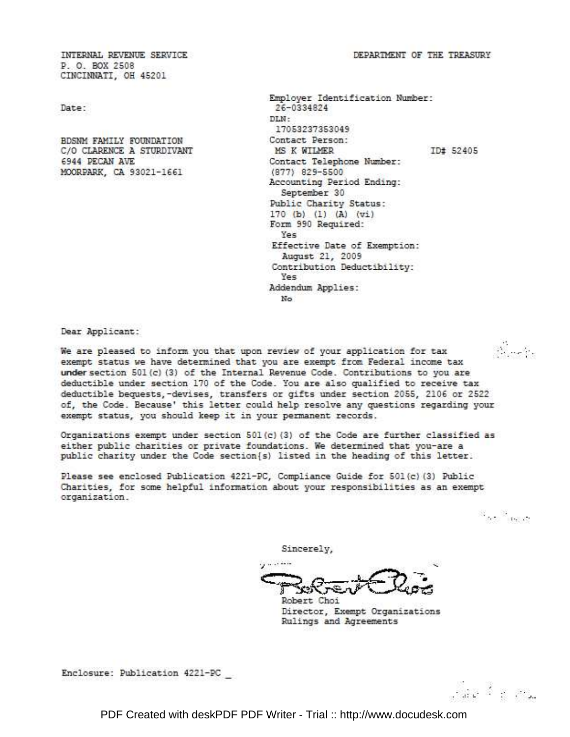DEPARTMENT OF THE TREASURY.

INTERNAL REVENUE SERVICE P. O. BOX 2508 CINCINNATI, OH 45201

Date:

BDSNM FAMILY FOUNDATION C/O CLARENCE A STURDIVANT 6944 PECAN AVE MOORPARK, CA 93021-1661

Employer Identification Number: 26-0334824 DT.N-17053237353049 Contact Person: MS K WILMER ID# 52405 Contact Telephone Number: (877) 829-5500 Accounting Period Ending: September 30 Public Charity Status: 170 (b) (1) (A) (vi) Form 990 Required: Yes Effective Date of Exemption: August 21, 2009 Contribution Deductibility: Yes Addendum Applies: No

Dear Applicant:

3. J. We are pleased to inform you that upon review of your application for tax exempt status we have determined that you are exempt from Federal income tax under section 501(c) (3) of the Internal Revenue Code. Contributions to you are deductible under section 170 of the Code. You are also qualified to receive tax deductible bequests,-devises, transfers or gifts under section 2055, 2106 or 2522 of, the Code. Because' this letter could help resolve any questions regarding your exempt status, you should keep it in your permanent records.

Organizations exempt under section 501(c)(3) of the Code are further classified as either public charities or private foundations. We determined that you-are a public charity under the Code section [s] listed in the heading of this letter.

Please see enclosed Publication 4221-PC, Compliance Guide for 501(c) (3) Public Charities, for some helpful information about your responsibilities as an exempt organization.

 $\mathcal{R}_{\text{max}}$ 

Sincerely,

Serve

Robert Choi Director, Exempt Organizations Rulings and Agreements

Enclosure: Publication 4221-PC

Jae Merce